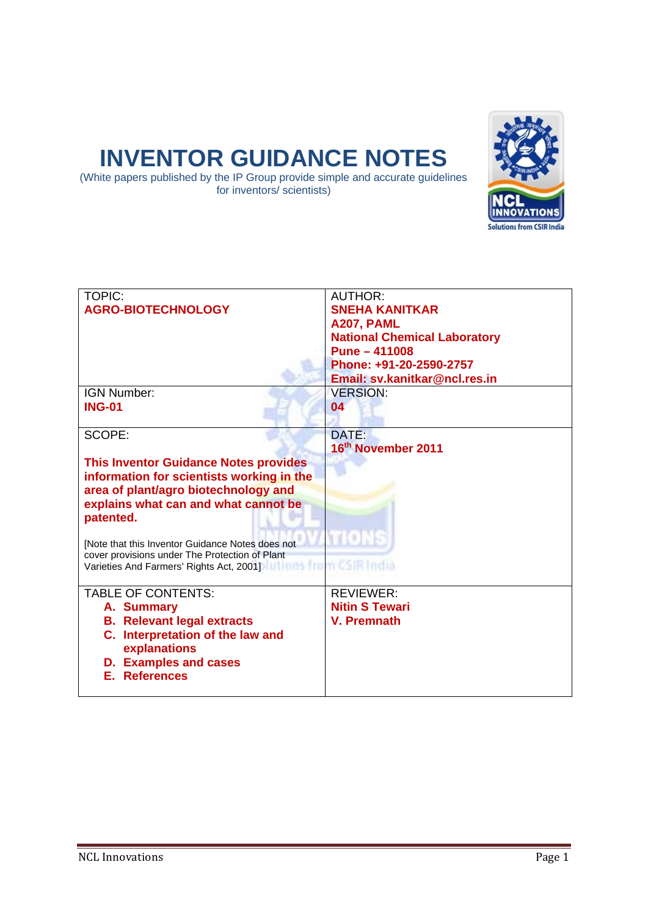# **INVENTOR GUIDANCE NOTES**

(White papers published by the IP Group provide simple and accurate guidelines for inventors/ scientists)



| <b>TOPIC:</b><br><b>AGRO-BIOTECHNOLOGY</b>                                                                                                                                                                                                                                                                                                                           | <b>AUTHOR:</b><br><b>SNEHA KANITKAR</b><br>A207, PAML<br><b>National Chemical Laboratory</b><br>Pune - 411008<br>Phone: +91-20-2590-2757<br>Email: sv.kanitkar@ncl.res.in |
|----------------------------------------------------------------------------------------------------------------------------------------------------------------------------------------------------------------------------------------------------------------------------------------------------------------------------------------------------------------------|---------------------------------------------------------------------------------------------------------------------------------------------------------------------------|
| IGN Number:                                                                                                                                                                                                                                                                                                                                                          | <b>VERSION:</b>                                                                                                                                                           |
| <b>ING-01</b>                                                                                                                                                                                                                                                                                                                                                        | 04                                                                                                                                                                        |
| SCOPE:                                                                                                                                                                                                                                                                                                                                                               | DATE:<br>16 <sup>th</sup> November 2011                                                                                                                                   |
| <b>This Inventor Guidance Notes provides</b><br>information for scientists working in the<br>area of plant/agro biotechnology and<br>explains what can and what cannot be<br>patented.<br>[Note that this Inventor Guidance Notes does not<br>cover provisions under The Protection of Plant<br>Varieties And Farmers' Rights Act, 2001)   utilians from CSIR Indian | 10EB                                                                                                                                                                      |
| <b>TABLE OF CONTENTS:</b><br>A. Summary<br><b>B. Relevant legal extracts</b><br>C. Interpretation of the law and<br>explanations<br><b>D. Examples and cases</b><br><b>E. References</b>                                                                                                                                                                             | <b>REVIEWER:</b><br><b>Nitin S Tewari</b><br><b>V. Premnath</b>                                                                                                           |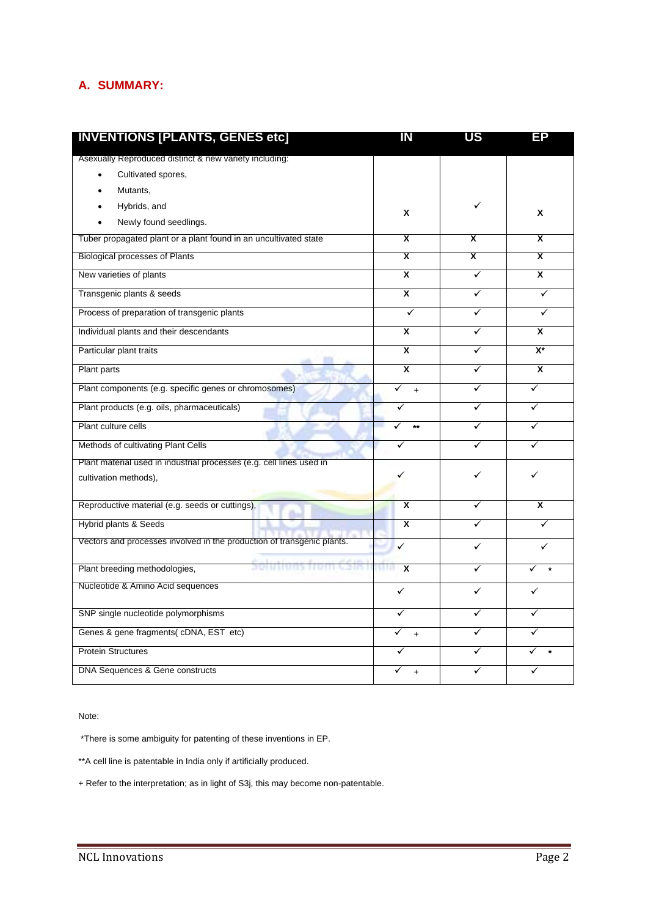# **A. SUMMARY:**

| <b>INVENTIONS [PLANTS, GENES etc]</b>                                  | IN                      | <b>US</b>               | ЕP                        |
|------------------------------------------------------------------------|-------------------------|-------------------------|---------------------------|
| Asexually Reproduced distinct & new variety including:                 |                         |                         |                           |
| Cultivated spores,                                                     |                         |                         |                           |
| Mutants,                                                               |                         |                         |                           |
| Hybrids, and                                                           | X                       | ✓                       | X                         |
| Newly found seedlings.                                                 |                         |                         |                           |
| Tuber propagated plant or a plant found in an uncultivated state       | $\overline{\mathbf{x}}$ | $\overline{\mathbf{x}}$ | $\overline{\mathbf{x}}$   |
| Biological processes of Plants                                         | $\overline{\mathbf{x}}$ | $\overline{\mathsf{x}}$ | $\overline{\mathbf{x}}$   |
| New varieties of plants                                                | $\overline{\mathbf{x}}$ | ✓                       | X                         |
| Transgenic plants & seeds                                              | $\overline{\mathsf{x}}$ | ✓                       | ✓                         |
| Process of preparation of transgenic plants                            | ✓                       | ✓                       | ✓                         |
| Individual plants and their descendants                                | X                       | ✓                       | X                         |
| Particular plant traits                                                | $\overline{\mathbf{x}}$ | ✓                       | $\overline{\mathbf{X}^*}$ |
| Plant parts                                                            | $\overline{\mathbf{x}}$ | $\checkmark$            | $\overline{\mathbf{x}}$   |
| Plant components (e.g. specific genes or chromosomes)                  | ✓<br>$\ddot{}$          | ✓                       | ✓                         |
| Plant products (e.g. oils, pharmaceuticals)                            | ✓                       | ✓                       | ✓                         |
| Plant culture cells                                                    | ✓<br>$\star\star$       | ✓                       | ✓                         |
| Methods of cultivating Plant Cells                                     | ✓                       | ✓                       | ✓                         |
| Plant material used in industrial processes (e.g. cell lines used in   |                         |                         |                           |
| cultivation methods),                                                  |                         | ✓                       |                           |
| Reproductive material (e.g. seeds or cuttings),                        | X                       | ✓                       | X                         |
| Hybrid plants & Seeds                                                  | $\overline{\mathbf{x}}$ | ✓                       | ✓                         |
| Vectors and processes involved in the production of transgenic plants. | ✓                       | ✓                       | ✓                         |
| <b>Solutions Hold Colum</b><br>Plant breeding methodologies,           | X<br>n yang m           | ✓                       | ✓                         |
| Nucleotide & Amino Acid sequences                                      | $\checkmark$            | ✓                       | ✓                         |
| SNP single nucleotide polymorphisms                                    | ✓                       | ✓                       | ✓                         |
| Genes & gene fragments( cDNA, EST etc)                                 | ✓<br>$+$                | ✓                       | ✓                         |
|                                                                        |                         |                         |                           |
| <b>Protein Structures</b>                                              |                         | ✓                       |                           |
| DNA Sequences & Gene constructs                                        | ✓<br>$+$                | ✓                       |                           |

Note:

\*There is some ambiguity for patenting of these inventions in EP.

\*\*A cell line is patentable in India only if artificially produced.

+ Refer to the interpretation; as in light of S3j, this may become non-patentable.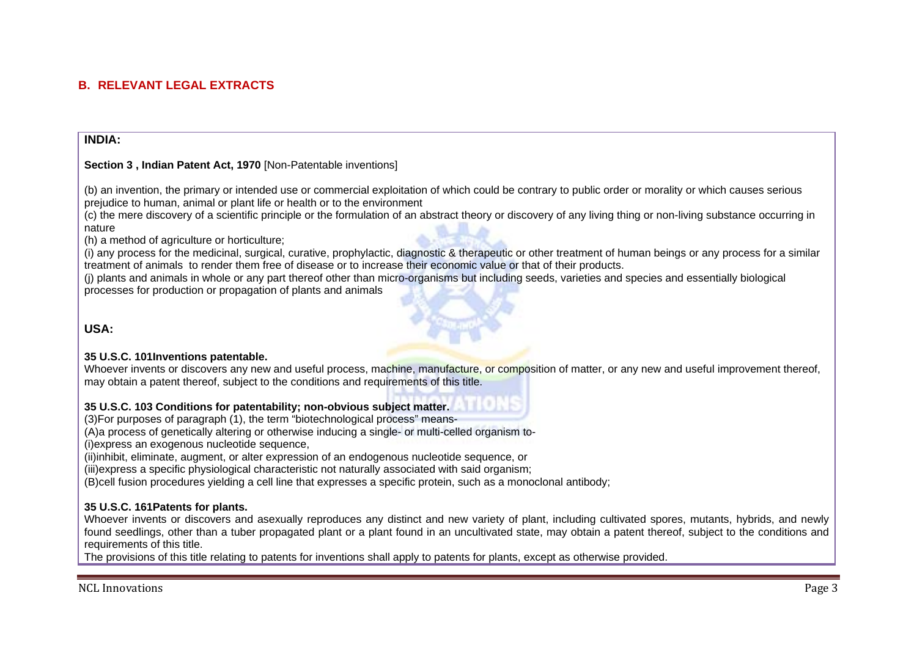# **B. RELEVANT LEGAL EXTRACTS**

## **INDIA:**

### **Section 3 , Indian Patent Act, 1970** [Non-Patentable inventions]

(b) an invention, the primary or intended use or commercial exploitation of which could be contrary to public order or morality or which causes serious prejudice to human, animal or plant life or health or to the environment

(c) the mere discovery of a scientific principle or the formulation of an abstract theory or discovery of any living thing or non-living substance occurring in nature

(h) a method of agriculture or horticulture;

(i) any process for the medicinal, surgical, curative, prophylactic, diagnostic & therapeutic or other treatment of human beings or any process for a similar treatment of animals to render them free of disease or to increase their economic value or that of their products.

(j) plants and animals in whole or any part thereof other than micro-organisms but including seeds, varieties and species and essentially biological processes for production or propagation of plants and animals

**USA:** 

#### **35 U.S.C. 101Inventions patentable.**

Whoever invents or discovers any new and useful process, machine, manufacture, or composition of matter, or any new and useful improvement thereof, may obtain a patent thereof, subject to the conditions and requirements of this title.

## **35 U.S.C. 103 Conditions for patentability; non-obvious subject matter.**

(3)For purposes of paragraph (1), the term "biotechnological process" means-

(A)a process of genetically altering or otherwise inducing a single- or multi-celled organism to-

(i)express an exogenous nucleotide sequence,

(ii)inhibit, eliminate, augment, or alter expression of an endogenous nucleotide sequence, or

(iii)express a specific physiological characteristic not naturally associated with said organism;

(B)cell fusion procedures yielding a cell line that expresses a specific protein, such as a monoclonal antibody;

#### **35 U.S.C. 161Patents for plants.**

Whoever invents or discovers and asexually reproduces any distinct and new variety of plant, including cultivated spores, mutants, hybrids, and newly found seedlings, other than a tuber propagated plant or a plant found in an uncultivated state, may obtain a patent thereof, subject to the conditions and requirements of this title.

The provisions of this title relating to patents for inventions shall apply to patents for plants, except as otherwise provided.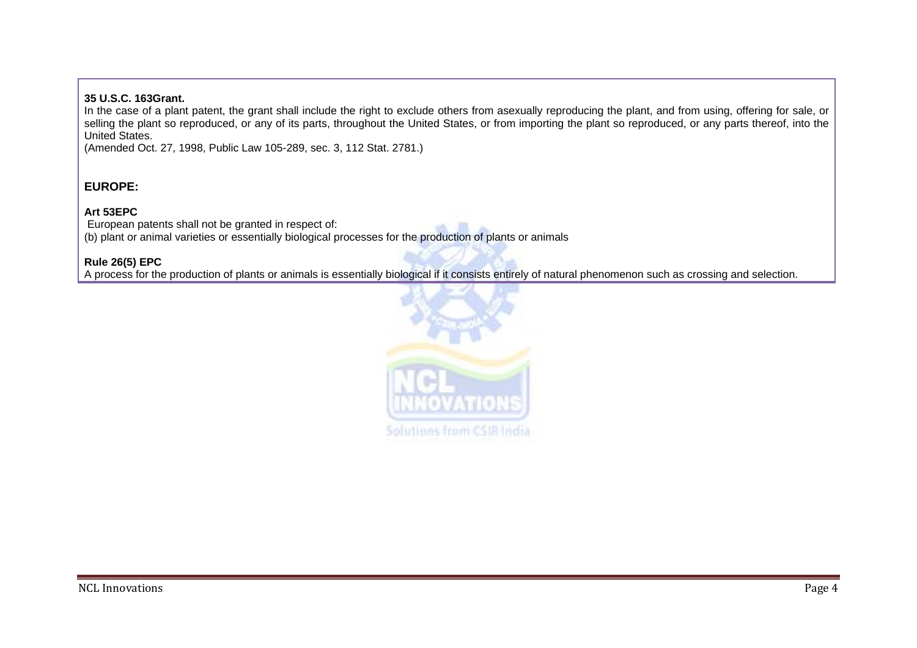## **35 U.S.C. 163Grant.**

In the case of a plant patent, the grant shall include the right to exclude others from asexually reproducing the plant, and from using, offering for sale, or selling the plant so reproduced, or any of its parts, throughout the United States, or from importing the plant so reproduced, or any parts thereof, into the United States.

(Amended Oct. 27, 1998, Public Law 105-289, sec. 3, 112 Stat. 2781.)

# **EUROPE:**

# **Art 53EPC**

 European patents shall not be granted in respect of: (b) plant or animal varieties or essentially biological processes for the production of plants or animals

## **Rule 26(5) EPC**

A process for the production of plants or animals is essentially biological if it consists entirely of natural phenomenon such as crossing and selection.

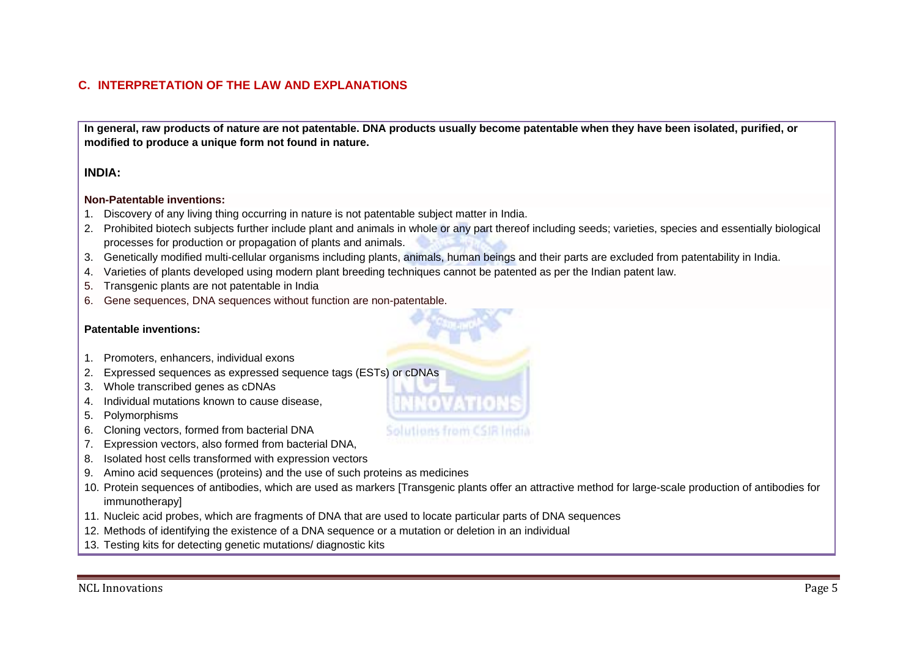# **C. INTERPRETATION OF THE LAW AND EXPLANATIONS**

**In general, raw products of nature are not patentable. DNA products usually become patentable when they have been isolated, purified, or modified to produce a unique form not found in nature.** 

# **INDIA:**

#### **Non-Patentable inventions:**

- 1. Discovery of any living thing occurring in nature is not patentable subject matter in India.
- 2. Prohibited biotech subjects further include plant and animals in whole or any part thereof including seeds; varieties, species and essentially biological processes for production or propagation of plants and animals.
- 3. Genetically modified multi-cellular organisms including plants, animals, human beings and their parts are excluded from patentability in India.
- 4. Varieties of plants developed using modern plant breeding techniques cannot be patented as per the Indian patent law.
- 5. Transgenic plants are not patentable in India
- 6. Gene sequences, DNA sequences without function are non-patentable.

## **Patentable inventions:**

- 1. Promoters, enhancers, individual exons
- 2. Expressed sequences as expressed sequence tags (ESTs) or cDNAs
- 3. Whole transcribed genes as cDNAs
- 4. Individual mutations known to cause disease,
- 5. Polymorphisms
- 6. Cloning vectors, formed from bacterial DNA
- 7. Expression vectors, also formed from bacterial DNA,
- 8. Isolated host cells transformed with expression vectors
- 9. Amino acid sequences (proteins) and the use of such proteins as medicines
- 10. Protein sequences of antibodies, which are used as markers [Transgenic plants offer an attractive method for large-scale production of antibodies for immunotherapy]
- 11. Nucleic acid probes, which are fragments of DNA that are used to locate particular parts of DNA sequences
- 12. Methods of identifying the existence of a DNA sequence or a mutation or deletion in an individual
- 13. Testing kits for detecting genetic mutations/ diagnostic kits

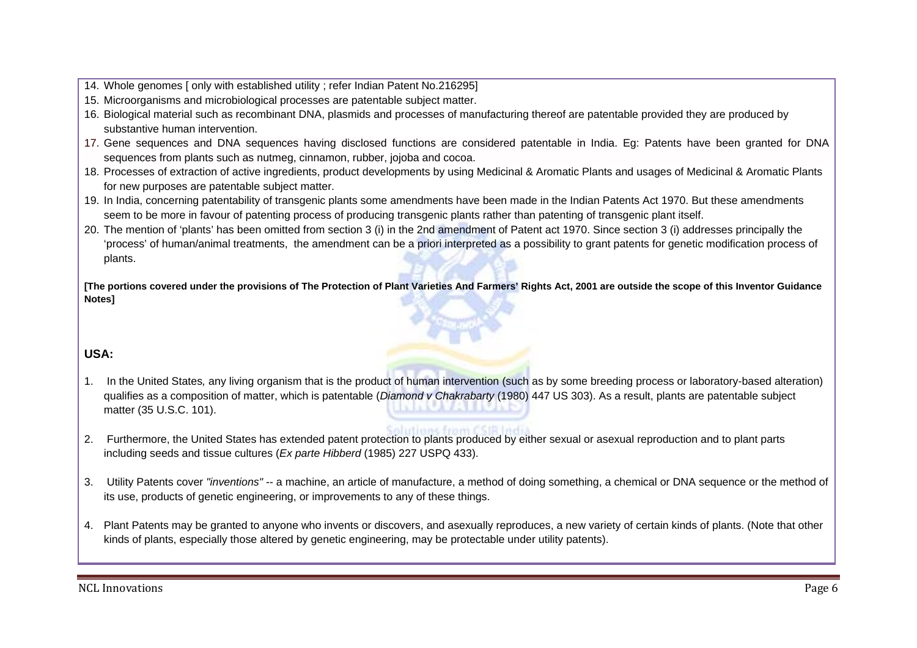- 14. Whole genomes [ only with established utility ; refer Indian Patent No.216295]
- 15. Microorganisms and microbiological processes are patentable subject matter.
- 16. Biological material such as recombinant DNA, plasmids and processes of manufacturing thereof are patentable provided they are produced by substantive human intervention.
- 17. Gene sequences and DNA sequences having disclosed functions are considered patentable in India. Eg: Patents have been granted for DNA sequences from plants such as nutmeg, cinnamon, rubber, jojoba and cocoa.
- 18. Processes of extraction of active ingredients, product developments by using Medicinal & Aromatic Plants and usages of Medicinal & Aromatic Plants for new purposes are patentable subject matter.
- 19. In India, concerning patentability of transgenic plants some amendments have been made in the Indian Patents Act 1970. But these amendments seem to be more in favour of patenting process of producing transgenic plants rather than patenting of transgenic plant itself.
- 20. The mention of 'plants' has been omitted from section 3 (i) in the 2nd amendment of Patent act 1970. Since section 3 (i) addresses principally the 'process' of human/animal treatments, the amendment can be a priori interpreted as a possibility to grant patents for genetic modification process of plants.

**[The portions covered under the provisions of The Protection of Plant Varieties And Farmers' Rights Act, 2001 are outside the scope of this Inventor Guidance Notes]** 

# **USA:**

- 1. In the United States*,* any living organism that is the product of human intervention (such as by some breeding process or laboratory-based alteration) qualifies as a composition of matter, which is patentable (*Diamond v Chakrabarty* (1980) 447 US 303). As a result, plants are patentable subject matter (35 U.S.C. 101).
- 2. Furthermore, the United States has extended patent protection to plants produced by either sexual or asexual reproduction and to plant parts including seeds and tissue cultures (*Ex parte Hibberd* (1985) 227 USPQ 433).
- 3. Utility Patents cover *"inventions"* -- a machine, an article of manufacture, a method of doing something, a chemical or DNA sequence or the method of its use, products of genetic engineering, or improvements to any of these things.
- 4. Plant Patents may be granted to anyone who invents or discovers, and asexually reproduces, a new variety of certain kinds of plants. (Note that other kinds of plants, especially those altered by genetic engineering, may be protectable under utility patents).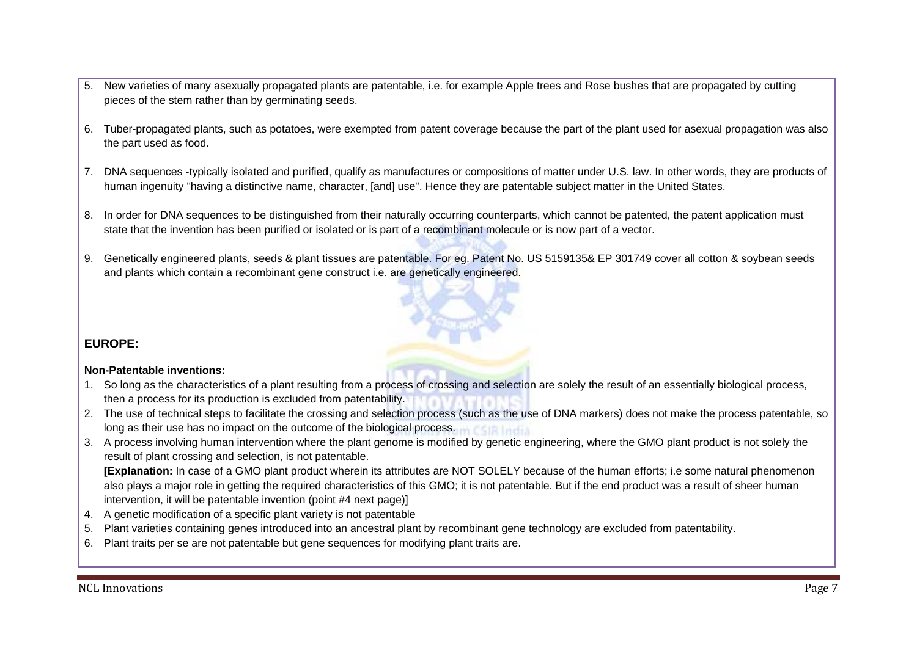- 5. New varieties of many asexually propagated plants are patentable, i.e. for example Apple trees and Rose bushes that are propagated by cutting pieces of the stem rather than by germinating seeds.
- 6. Tuber-propagated plants, such as potatoes, were exempted from patent coverage because the part of the plant used for asexual propagation was also the part used as food.
- 7. DNA sequences -typically isolated and purified, qualify as manufactures or compositions of matter under U.S. law. In other words, they are products of human ingenuity "having a distinctive name, character, [and] use". Hence they are patentable subject matter in the United States.
- 8. In order for DNA sequences to be distinguished from their naturally occurring counterparts, which cannot be patented, the patent application must state that the invention has been purified or isolated or is part of a recombinant molecule or is now part of a vector.
- 9. Genetically engineered plants, seeds & plant tissues are patentable. For eg. Patent No. US 5159135& EP 301749 cover all cotton & soybean seeds and plants which contain a recombinant gene construct i.e. are genetically engineered.

# **EUROPE:**

## **Non-Patentable inventions:**

- 1. So long as the characteristics of a plant resulting from a process of crossing and selection are solely the result of an essentially biological process, then a process for its production is excluded from patentability.
- 2. The use of technical steps to facilitate the crossing and selection process (such as the use of DNA markers) does not make the process patentable, so long as their use has no impact on the outcome of the biological process. **India**
- 3. A process involving human intervention where the plant genome is modified by genetic engineering, where the GMO plant product is not solely the result of plant crossing and selection, is not patentable.

**[Explanation:** In case of a GMO plant product wherein its attributes are NOT SOLELY because of the human efforts; i.e some natural phenomenon also plays a major role in getting the required characteristics of this GMO; it is not patentable. But if the end product was a result of sheer human intervention, it will be patentable invention (point #4 next page)]

- 4. A genetic modification of a specific plant variety is not patentable
- 5. Plant varieties containing genes introduced into an ancestral plant by recombinant gene technology are excluded from patentability.
- 6. Plant traits per se are not patentable but gene sequences for modifying plant traits are.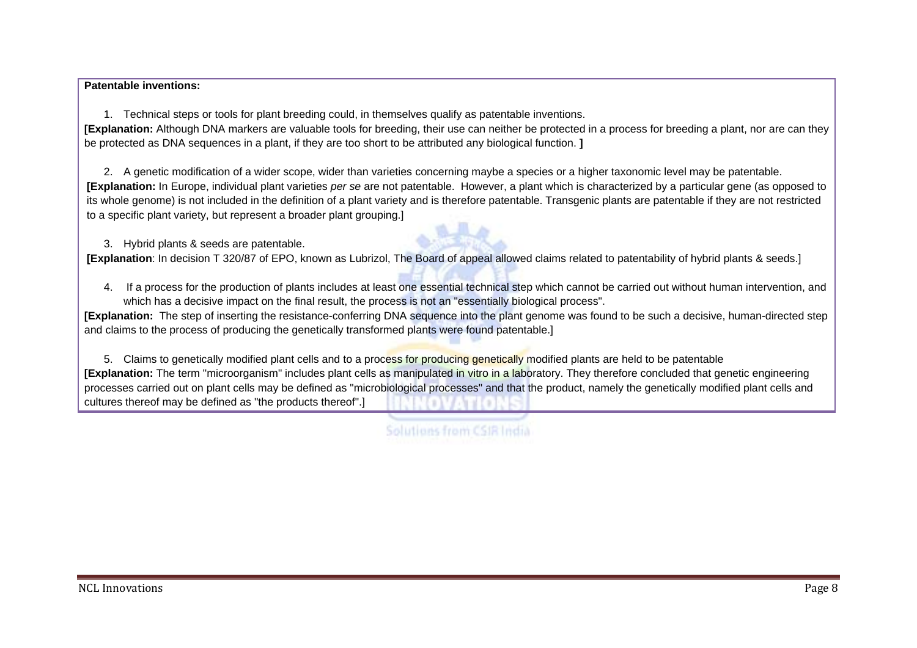#### **Patentable inventions:**

1. Technical steps or tools for plant breeding could, in themselves qualify as patentable inventions.

**[Explanation:** Although DNA markers are valuable tools for breeding, their use can neither be protected in a process for breeding a plant, nor are can they be protected as DNA sequences in a plant, if they are too short to be attributed any biological function. **]** 

2. A genetic modification of a wider scope, wider than varieties concerning maybe a species or a higher taxonomic level may be patentable. **[Explanation:** In Europe, individual plant varieties *per se* are not patentable. However, a plant which is characterized by a particular gene (as opposed to its whole genome) is not included in the definition of a plant variety and is therefore patentable. Transgenic plants are patentable if they are not restricted to a specific plant variety, but represent a broader plant grouping.]

3. Hybrid plants & seeds are patentable.

**[Explanation**: In decision T 320/87 of EPO, known as Lubrizol, The Board of appeal allowed claims related to patentability of hybrid plants & seeds.]

4. If a process for the production of plants includes at least one essential technical step which cannot be carried out without human intervention, and which has a decisive impact on the final result, the process is not an "essentially biological process".

**[Explanation:** The step of inserting the resistance-conferring DNA sequence into the plant genome was found to be such a decisive, human-directed step and claims to the process of producing the genetically transformed plants were found patentable.]

5. Claims to genetically modified plant cells and to a process for producing genetically modified plants are held to be patentable **[Explanation:** The term "microorganism" includes plant cells as manipulated in vitro in a laboratory. They therefore concluded that genetic engineering processes carried out on plant cells may be defined as "microbiological processes" and that the product, namely the genetically modified plant cells and cultures thereof may be defined as "the products thereof".]

Solutions from CSIR India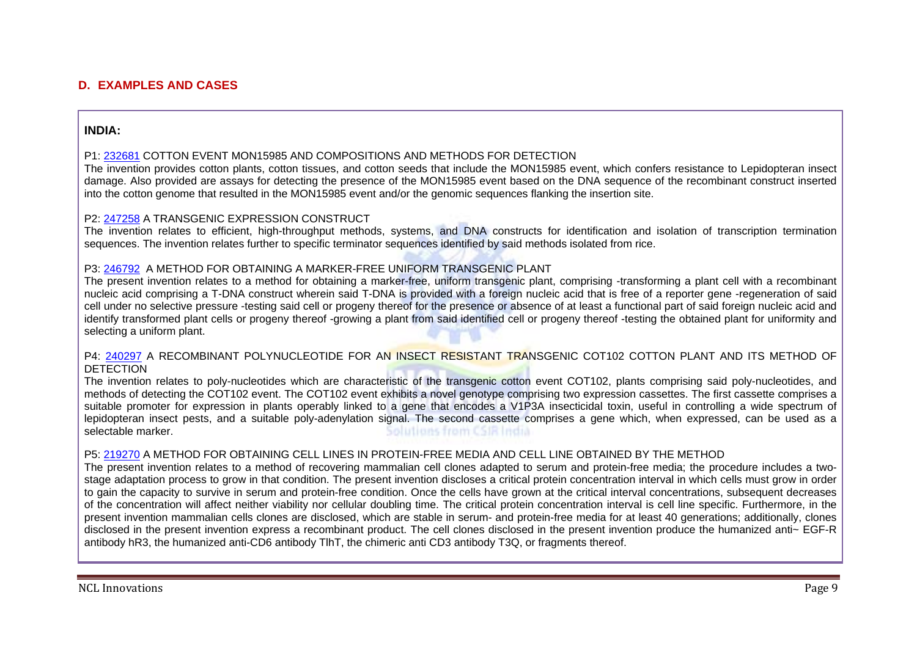# **D. EXAMPLES AND CASES**

## **INDIA:**

#### P1: 232681 COTTON EVENT MON15985 AND COMPOSITIONS AND METHODS FOR DETECTION

The invention provides cotton plants, cotton tissues, and cotton seeds that include the MON15985 event, which confers resistance to Lepidopteran insect damage. Also provided are assays for detecting the presence of the MON15985 event based on the DNA sequence of the recombinant construct inserted into the cotton genome that resulted in the MON15985 event and/or the genomic sequences flanking the insertion site.

#### P2: 247258 A TRANSGENIC EXPRESSION CONSTRUCT

The invention relates to efficient, high-throughput methods, systems, and DNA constructs for identification and isolation of transcription termination sequences. The invention relates further to specific terminator sequences identified by said methods isolated from rice.

#### P3: 246792 A METHOD FOR OBTAINING A MARKER-FREE UNIFORM TRANSGENIC PLANT

The present invention relates to a method for obtaining a marker-free, uniform transgenic plant, comprising -transforming a plant cell with a recombinant nucleic acid comprising a T-DNA construct wherein said T-DNA is provided with a foreign nucleic acid that is free of a reporter gene -regeneration of said cell under no selective pressure -testing said cell or progeny thereof for the presence or absence of at least a functional part of said foreign nucleic acid and identify transformed plant cells or progeny thereof -growing a plant from said identified cell or progeny thereof -testing the obtained plant for uniformity and selecting a uniform plant.

#### P4: 240297 A RECOMBINANT POLYNUCLEOTIDE FOR AN INSECT RESISTANT TRANSGENIC COT102 COTTON PLANT AND ITS METHOD OF **DETECTION**

The invention relates to poly-nucleotides which are characteristic of the transgenic cotton event COT102, plants comprising said poly-nucleotides, and methods of detecting the COT102 event. The COT102 event exhibits a novel genotype comprising two expression cassettes. The first cassette comprises a suitable promoter for expression in plants operably linked to a gene that encodes a V1P3A insecticidal toxin, useful in controlling a wide spectrum of lepidopteran insect pests, and a suitable poly-adenylation signal. The second cassette comprises a gene which, when expressed, can be used as a selectable marker. Solutions from CSIR India

#### P5: 219270 A METHOD FOR OBTAINING CELL LINES IN PROTEIN-FREE MEDIA AND CELL LINE OBTAINED BY THE METHOD

The present invention relates to a method of recovering mammalian cell clones adapted to serum and protein-free media; the procedure includes a twostage adaptation process to grow in that condition. The present invention discloses a critical protein concentration interval in which cells must grow in order to gain the capacity to survive in serum and protein-free condition. Once the cells have grown at the critical interval concentrations, subsequent decreases of the concentration will affect neither viability nor cellular doubling time. The critical protein concentration interval is cell line specific. Furthermore, in the present invention mammalian cells clones are disclosed, which are stable in serum- and protein-free media for at least 40 generations; additionally, clones disclosed in the present invention express a recombinant product. The cell clones disclosed in the present invention produce the humanized anti~ EGF-R antibody hR3, the humanized anti-CD6 antibody TlhT, the chimeric anti CD3 antibody T3Q, or fragments thereof.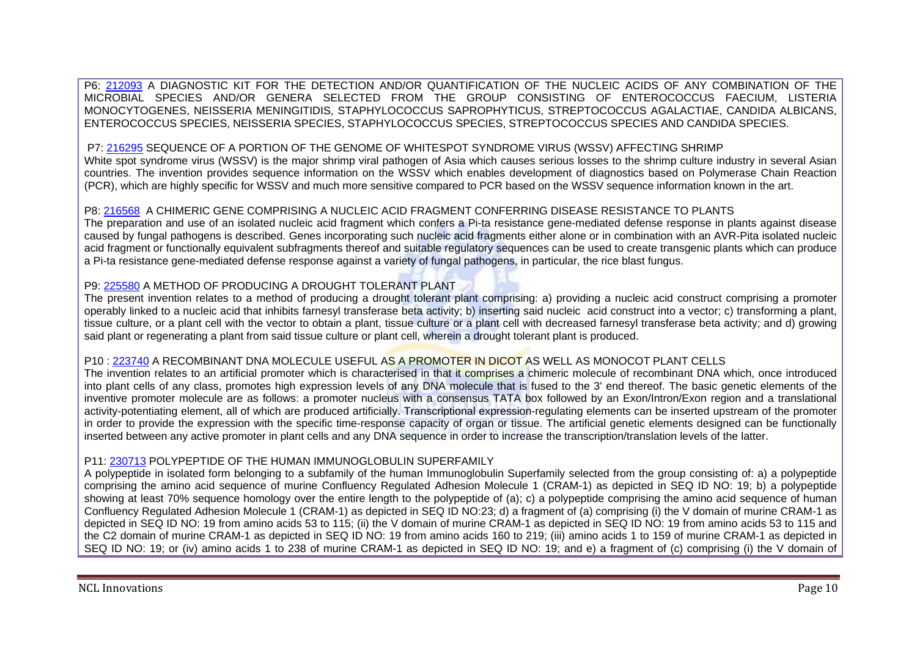P6: 212093 A DIAGNOSTIC KIT FOR THE DETECTION AND/OR QUANTIFICATION OF THE NUCLEIC ACIDS OF ANY COMBINATION OF THE MICROBIAL SPECIES AND/OR GENERA SELECTED FROM THE GROUP CONSISTING OF ENTEROCOCCUS FAECIUM, LISTERIA MONOCYTOGENES, NEISSERIA MENINGITIDIS, STAPHYLOCOCCUS SAPROPHYTICUS, STREPTOCOCCUS AGALACTIAE, CANDIDA ALBICANS, ENTEROCOCCUS SPECIES, NEISSERIA SPECIES, STAPHYLOCOCCUS SPECIES, STREPTOCOCCUS SPECIES AND CANDIDA SPECIES.

## P7: 216295 SEQUENCE OF A PORTION OF THE GENOME OF WHITESPOT SYNDROME VIRUS (WSSV) AFFECTING SHRIMP

White spot syndrome virus (WSSV) is the major shrimp viral pathogen of Asia which causes serious losses to the shrimp culture industry in several Asian countries. The invention provides sequence information on the WSSV which enables development of diagnostics based on Polymerase Chain Reaction (PCR), which are highly specific for WSSV and much more sensitive compared to PCR based on the WSSV sequence information known in the art.

#### P8: 216568 A CHIMERIC GENE COMPRISING A NUCLEIC ACID FRAGMENT CONFERRING DISEASE RESISTANCE TO PLANTS

The preparation and use of an isolated nucleic acid fragment which confers a Pi-ta resistance gene-mediated defense response in plants against disease caused by fungal pathogens is described. Genes incorporating such nucleic acid fragments either alone or in combination with an AVR-Pita isolated nucleic acid fragment or functionally equivalent subfragments thereof and suitable regulatory sequences can be used to create transgenic plants which can produce a Pi-ta resistance gene-mediated defense response against a variety of fungal pathogens, in particular, the rice blast fungus.

#### P9: 225580 A METHOD OF PRODUCING A DROUGHT TOLERANT PLANT

The present invention relates to a method of producing a drought tolerant plant comprising: a) providing a nucleic acid construct comprising a promoter operably linked to a nucleic acid that inhibits farnesyl transferase beta activity; b) inserting said nucleic acid construct into a vector; c) transforming a plant, tissue culture, or a plant cell with the vector to obtain a plant, tissue culture or a plant cell with decreased farnesyl transferase beta activity; and d) growing said plant or regenerating a plant from said tissue culture or plant cell, wherein a drought tolerant plant is produced.

#### P10 : 223740 A RECOMBINANT DNA MOLECULE USEFUL AS A PROMOTER IN DICOT AS WELL AS MONOCOT PLANT CELLS

The invention relates to an artificial promoter which is characterised in that it comprises a chimeric molecule of recombinant DNA which, once introduced into plant cells of any class, promotes high expression levels of any DNA molecule that is fused to the 3' end thereof. The basic genetic elements of the inventive promoter molecule are as follows: a promoter nucleus with a consensus TATA box followed by an Exon/Intron/Exon region and a translational activity-potentiating element, all of which are produced artificially. Transcriptional expression-regulating elements can be inserted upstream of the promoter in order to provide the expression with the specific time-response capacity of organ or tissue. The artificial genetic elements designed can be functionally inserted between any active promoter in plant cells and any DNA sequence in order to increase the transcription/translation levels of the latter.

#### P11: 230713 POLYPEPTIDE OF THE HUMAN IMMUNOGLOBULIN SUPERFAMILY

A polypeptide in isolated form belonging to a subfamily of the human Immunoglobulin Superfamily selected from the group consisting of: a) a polypeptide comprising the amino acid sequence of murine Confluency Regulated Adhesion Molecule 1 (CRAM-1) as depicted in SEQ ID NO: 19; b) a polypeptide showing at least 70% sequence homology over the entire length to the polypeptide of (a); c) a polypeptide comprising the amino acid sequence of human Confluency Regulated Adhesion Molecule 1 (CRAM-1) as depicted in SEQ ID NO:23; d) a fragment of (a) comprising (i) the V domain of murine CRAM-1 as depicted in SEQ ID NO: 19 from amino acids 53 to 115; (ii) the V domain of murine CRAM-1 as depicted in SEQ ID NO: 19 from amino acids 53 to 115 and the C2 domain of murine CRAM-1 as depicted in SEQ ID NO: 19 from amino acids 160 to 219; (iii) amino acids 1 to 159 of murine CRAM-1 as depicted in SEQ ID NO: 19; or (iv) amino acids 1 to 238 of murine CRAM-1 as depicted in SEQ ID NO: 19; and e) a fragment of (c) comprising (i) the V domain of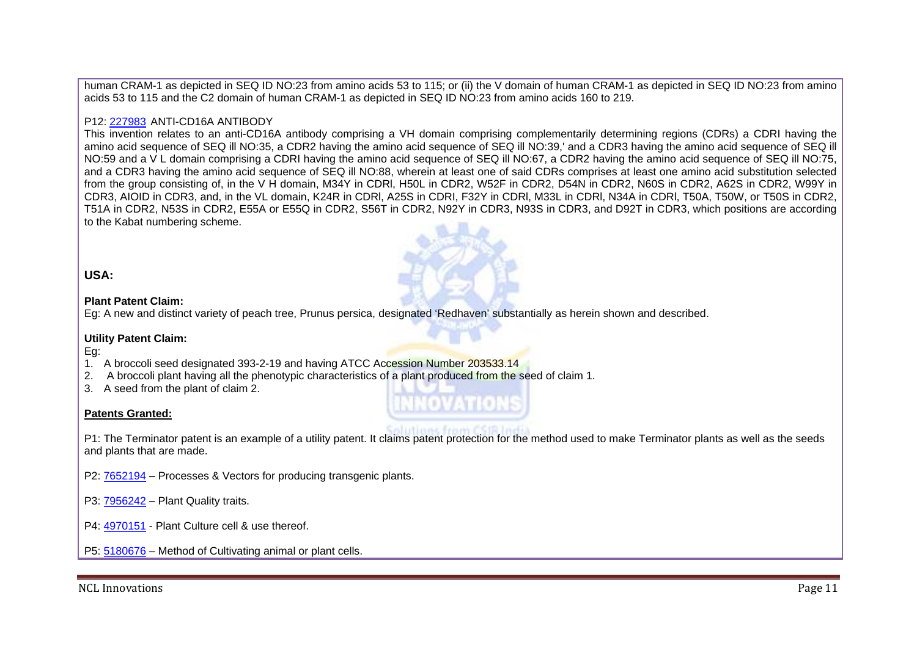human CRAM-1 as depicted in SEQ ID NO:23 from amino acids 53 to 115; or (ii) the V domain of human CRAM-1 as depicted in SEQ ID NO:23 from amino acids 53 to 115 and the C2 domain of human CRAM-1 as depicted in SEQ ID NO:23 from amino acids 160 to 219.

## P12: 227983 ANTI-CD16A ANTIBODY\_

This invention relates to an anti-CD16A antibody comprising a VH domain comprising complementarily determining regions (CDRs) a CDRI having the amino acid sequence of SEQ ill NO:35, a CDR2 having the amino acid sequence of SEQ ill NO:39,' and a CDR3 having the amino acid sequence of SEQ ill NO:59 and a V L domain comprising a CDRI having the amino acid sequence of SEQ ill NO:67, a CDR2 having the amino acid sequence of SEQ ill NO:75, and a CDR3 having the amino acid sequence of SEQ ill NO:88, wherein at least one of said CDRs comprises at least one amino acid substitution selected from the group consisting of, in the V H domain, M34Y in CDRl, H50L in CDR2, W52F in CDR2, D54N in CDR2, N60S in CDR2, A62S in CDR2, W99Y in CDR3, AIOID in CDR3, and, in the VL domain, K24R in CDRl, A25S in CDRI, F32Y in CDRl, M33L in CDRl, N34A in CDRl, T50A, T50W, or T50S in CDR2, T51A in CDR2, N53S in CDR2, E55A or E55Q in CDR2, S56T in CDR2, N92Y in CDR3, N93S in CDR3, and D92T in CDR3, which positions are according to the Kabat numbering scheme.

## **USA:**

#### **Plant Patent Claim:**

Eg: A new and distinct variety of peach tree, Prunus persica, designated 'Redhaven' substantially as herein shown and described.

#### **Utility Patent Claim:**

#### Eg:

- 1. A broccoli seed designated 393-2-19 and having ATCC Accession Number 203533.14
- 2. A broccoli plant having all the phenotypic characteristics of a plant produced from the seed of claim 1.
- 3. A seed from the plant of claim 2.

#### **Patents Granted:**

P1: The Terminator patent is an example of a utility patent. It claims patent protection for the method used to make Terminator plants as well as the seeds and plants that are made.

P2: 7652194 – Processes & Vectors for producing transgenic plants.

- P3: 7956242 Plant Quality traits.
- P4: 4970151 Plant Culture cell & use thereof.

P5: 5180676 – Method of Cultivating animal or plant cells.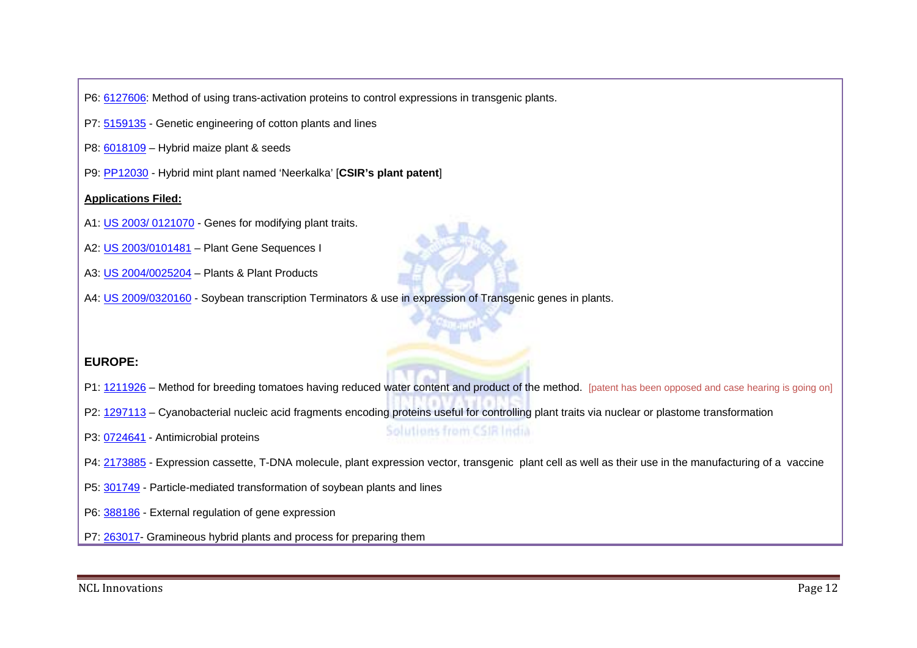P6: 6127606: Method of using trans-activation proteins to control expressions in transgenic plants.

- P7: 5159135 Genetic engineering of cotton plants and lines
- P8: 6018109 Hybrid maize plant & seeds
- P9: PP12030 Hybrid mint plant named 'Neerkalka' [**CSIR's plant patent**]

### **Applications Filed:**

- A1: US 2003/ 0121070 Genes for modifying plant traits.
- A2: US 2003/0101481 Plant Gene Sequences I
- A3: US 2004/0025204 Plants & Plant Products
- A4: US 2009/0320160 Soybean transcription Terminators & use in expression of Transgenic genes in plants.

## **EUROPE:**

- P1: 1211926 Method for breeding tomatoes having reduced water content and product of the method. [patent has been opposed and case hearing is going on]
- P2: 1297113 Cyanobacterial nucleic acid fragments encoding proteins useful for controlling plant traits via nuclear or plastome transformation
- P3: 0724641 Antimicrobial proteins

# Solutions from CSIR India

- P4: 2173885 Expression cassette, T-DNA molecule, plant expression vector, transgenic plant cell as well as their use in the manufacturing of a vaccine
- P5: 301749 Particle-mediated transformation of soybean plants and lines
- P6: 388186 External regulation of gene expression
- P7: 263017- Gramineous hybrid plants and process for preparing them